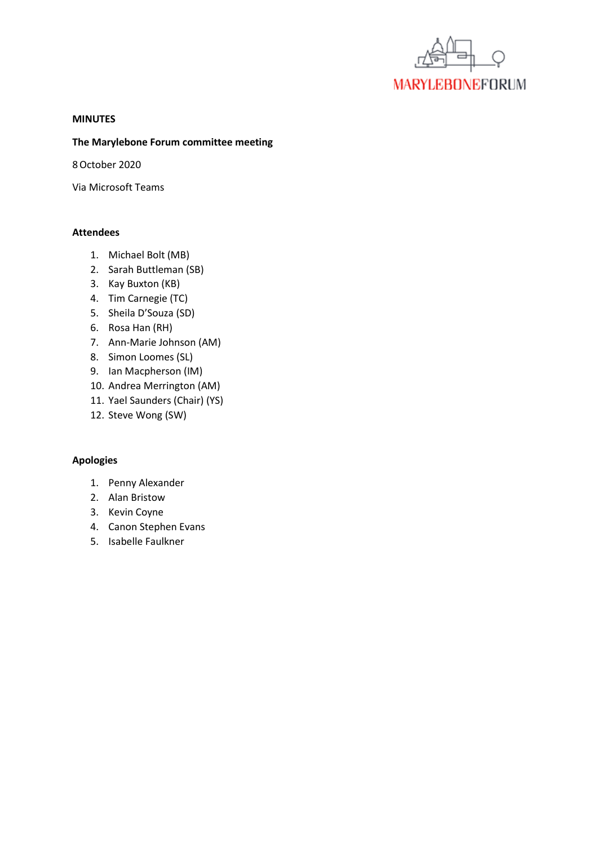

#### **MINUTES**

### **The Marylebone Forum committee meeting**

8October 2020

Via Microsoft Teams

### **Attendees**

- 1. Michael Bolt (MB)
- 2. Sarah Buttleman (SB)
- 3. Kay Buxton (KB)
- 4. Tim Carnegie (TC)
- 5. Sheila D'Souza (SD)
- 6. Rosa Han (RH)
- 7. Ann-Marie Johnson (AM)
- 8. Simon Loomes (SL)
- 9. Ian Macpherson (IM)
- 10. Andrea Merrington (AM)
- 11. Yael Saunders (Chair) (YS)
- 12. Steve Wong (SW)

## **Apologies**

- 1. Penny Alexander
- 2. Alan Bristow
- 3. Kevin Coyne
- 4. Canon Stephen Evans
- 5. Isabelle Faulkner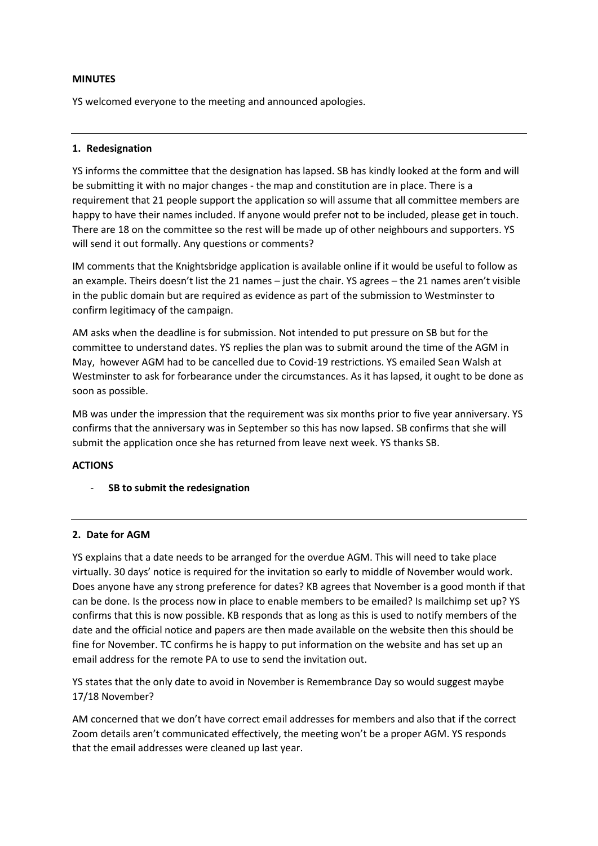#### **MINUTES**

YS welcomed everyone to the meeting and announced apologies.

#### **1. Redesignation**

YS informs the committee that the designation has lapsed. SB has kindly looked at the form and will be submitting it with no major changes - the map and constitution are in place. There is a requirement that 21 people support the application so will assume that all committee members are happy to have their names included. If anyone would prefer not to be included, please get in touch. There are 18 on the committee so the rest will be made up of other neighbours and supporters. YS will send it out formally. Any questions or comments?

IM comments that the Knightsbridge application is available online if it would be useful to follow as an example. Theirs doesn't list the 21 names – just the chair. YS agrees – the 21 names aren't visible in the public domain but are required as evidence as part of the submission to Westminster to confirm legitimacy of the campaign.

AM asks when the deadline is for submission. Not intended to put pressure on SB but for the committee to understand dates. YS replies the plan was to submit around the time of the AGM in May, however AGM had to be cancelled due to Covid-19 restrictions. YS emailed Sean Walsh at Westminster to ask for forbearance under the circumstances. As it has lapsed, it ought to be done as soon as possible.

MB was under the impression that the requirement was six months prior to five year anniversary. YS confirms that the anniversary was in September so this has now lapsed. SB confirms that she will submit the application once she has returned from leave next week. YS thanks SB.

### **ACTIONS**

- **SB to submit the redesignation**

### **2. Date for AGM**

YS explains that a date needs to be arranged for the overdue AGM. This will need to take place virtually. 30 days' notice is required for the invitation so early to middle of November would work. Does anyone have any strong preference for dates? KB agrees that November is a good month if that can be done. Is the process now in place to enable members to be emailed? Is mailchimp set up? YS confirms that this is now possible. KB responds that as long as this is used to notify members of the date and the official notice and papers are then made available on the website then this should be fine for November. TC confirms he is happy to put information on the website and has set up an email address for the remote PA to use to send the invitation out.

YS states that the only date to avoid in November is Remembrance Day so would suggest maybe 17/18 November?

AM concerned that we don't have correct email addresses for members and also that if the correct Zoom details aren't communicated effectively, the meeting won't be a proper AGM. YS responds that the email addresses were cleaned up last year.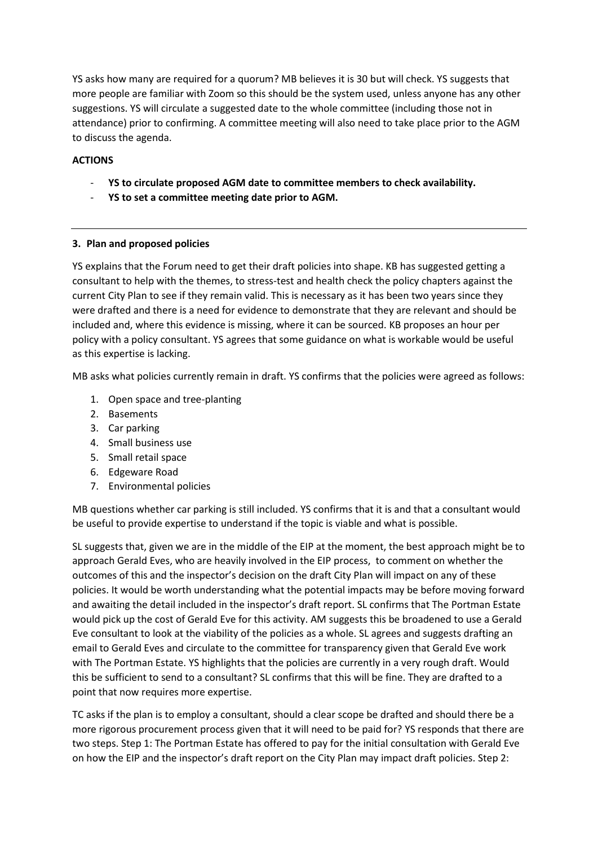YS asks how many are required for a quorum? MB believes it is 30 but will check. YS suggests that more people are familiar with Zoom so this should be the system used, unless anyone has any other suggestions. YS will circulate a suggested date to the whole committee (including those not in attendance) prior to confirming. A committee meeting will also need to take place prior to the AGM to discuss the agenda.

## **ACTIONS**

- **YS to circulate proposed AGM date to committee members to check availability.**
- **YS to set a committee meeting date prior to AGM.**

# **3. Plan and proposed policies**

YS explains that the Forum need to get their draft policies into shape. KB has suggested getting a consultant to help with the themes, to stress-test and health check the policy chapters against the current City Plan to see if they remain valid. This is necessary as it has been two years since they were drafted and there is a need for evidence to demonstrate that they are relevant and should be included and, where this evidence is missing, where it can be sourced. KB proposes an hour per policy with a policy consultant. YS agrees that some guidance on what is workable would be useful as this expertise is lacking.

MB asks what policies currently remain in draft. YS confirms that the policies were agreed as follows:

- 1. Open space and tree-planting
- 2. Basements
- 3. Car parking
- 4. Small business use
- 5. Small retail space
- 6. Edgeware Road
- 7. Environmental policies

MB questions whether car parking is still included. YS confirms that it is and that a consultant would be useful to provide expertise to understand if the topic is viable and what is possible.

SL suggests that, given we are in the middle of the EIP at the moment, the best approach might be to approach Gerald Eves, who are heavily involved in the EIP process, to comment on whether the outcomes of this and the inspector's decision on the draft City Plan will impact on any of these policies. It would be worth understanding what the potential impacts may be before moving forward and awaiting the detail included in the inspector's draft report. SL confirms that The Portman Estate would pick up the cost of Gerald Eve for this activity. AM suggests this be broadened to use a Gerald Eve consultant to look at the viability of the policies as a whole. SL agrees and suggests drafting an email to Gerald Eves and circulate to the committee for transparency given that Gerald Eve work with The Portman Estate. YS highlights that the policies are currently in a very rough draft. Would this be sufficient to send to a consultant? SL confirms that this will be fine. They are drafted to a point that now requires more expertise.

TC asks if the plan is to employ a consultant, should a clear scope be drafted and should there be a more rigorous procurement process given that it will need to be paid for? YS responds that there are two steps. Step 1: The Portman Estate has offered to pay for the initial consultation with Gerald Eve on how the EIP and the inspector's draft report on the City Plan may impact draft policies. Step 2: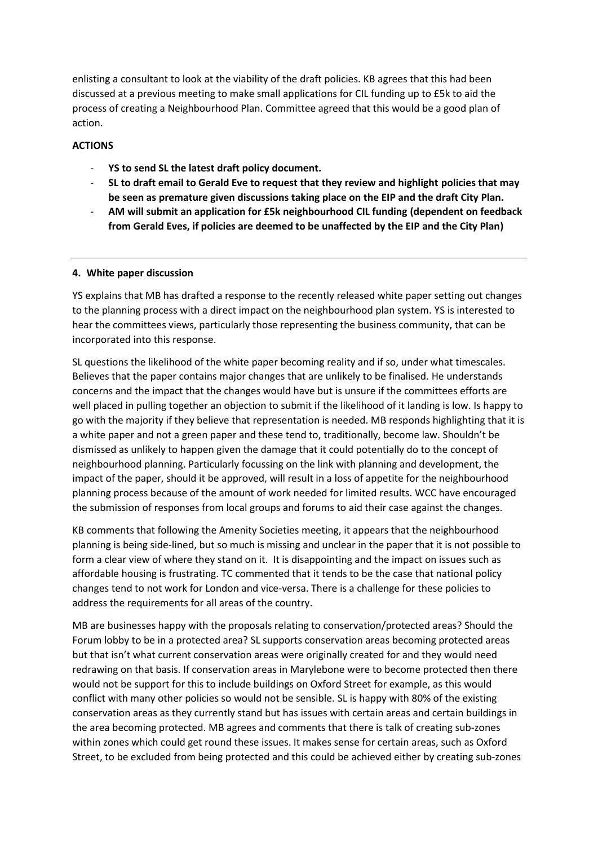enlisting a consultant to look at the viability of the draft policies. KB agrees that this had been discussed at a previous meeting to make small applications for CIL funding up to £5k to aid the process of creating a Neighbourhood Plan. Committee agreed that this would be a good plan of action.

## **ACTIONS**

- **YS to send SL the latest draft policy document.**
- **SL to draft email to Gerald Eve to request that they review and highlight policies that may be seen as premature given discussions taking place on the EIP and the draft City Plan.**
- **AM will submit an application for £5k neighbourhood CIL funding (dependent on feedback from Gerald Eves, if policies are deemed to be unaffected by the EIP and the City Plan)**

### **4. White paper discussion**

YS explains that MB has drafted a response to the recently released white paper setting out changes to the planning process with a direct impact on the neighbourhood plan system. YS is interested to hear the committees views, particularly those representing the business community, that can be incorporated into this response.

SL questions the likelihood of the white paper becoming reality and if so, under what timescales. Believes that the paper contains major changes that are unlikely to be finalised. He understands concerns and the impact that the changes would have but is unsure if the committees efforts are well placed in pulling together an objection to submit if the likelihood of it landing is low. Is happy to go with the majority if they believe that representation is needed. MB responds highlighting that it is a white paper and not a green paper and these tend to, traditionally, become law. Shouldn't be dismissed as unlikely to happen given the damage that it could potentially do to the concept of neighbourhood planning. Particularly focussing on the link with planning and development, the impact of the paper, should it be approved, will result in a loss of appetite for the neighbourhood planning process because of the amount of work needed for limited results. WCC have encouraged the submission of responses from local groups and forums to aid their case against the changes.

KB comments that following the Amenity Societies meeting, it appears that the neighbourhood planning is being side-lined, but so much is missing and unclear in the paper that it is not possible to form a clear view of where they stand on it. It is disappointing and the impact on issues such as affordable housing is frustrating. TC commented that it tends to be the case that national policy changes tend to not work for London and vice-versa. There is a challenge for these policies to address the requirements for all areas of the country.

MB are businesses happy with the proposals relating to conservation/protected areas? Should the Forum lobby to be in a protected area? SL supports conservation areas becoming protected areas but that isn't what current conservation areas were originally created for and they would need redrawing on that basis. If conservation areas in Marylebone were to become protected then there would not be support for this to include buildings on Oxford Street for example, as this would conflict with many other policies so would not be sensible. SL is happy with 80% of the existing conservation areas as they currently stand but has issues with certain areas and certain buildings in the area becoming protected. MB agrees and comments that there is talk of creating sub-zones within zones which could get round these issues. It makes sense for certain areas, such as Oxford Street, to be excluded from being protected and this could be achieved either by creating sub-zones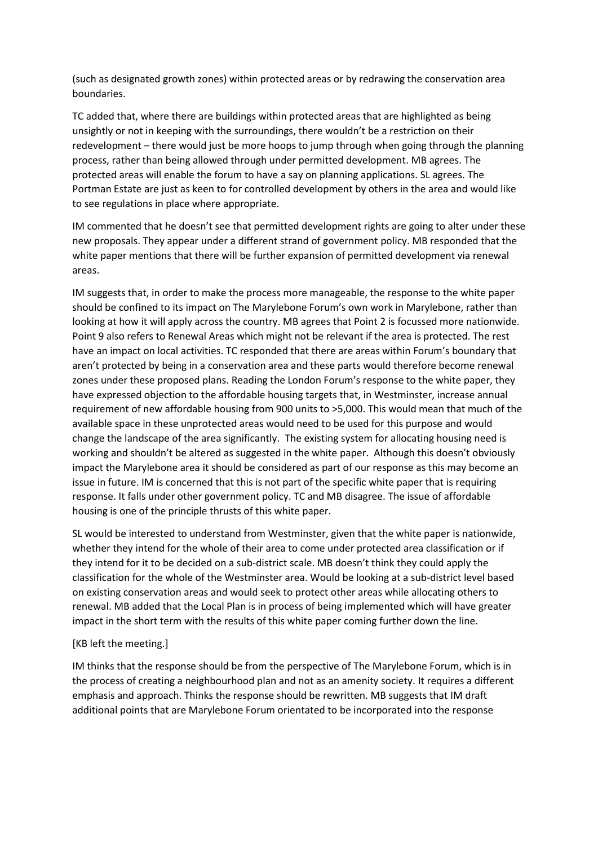(such as designated growth zones) within protected areas or by redrawing the conservation area boundaries.

TC added that, where there are buildings within protected areas that are highlighted as being unsightly or not in keeping with the surroundings, there wouldn't be a restriction on their redevelopment – there would just be more hoops to jump through when going through the planning process, rather than being allowed through under permitted development. MB agrees. The protected areas will enable the forum to have a say on planning applications. SL agrees. The Portman Estate are just as keen to for controlled development by others in the area and would like to see regulations in place where appropriate.

IM commented that he doesn't see that permitted development rights are going to alter under these new proposals. They appear under a different strand of government policy. MB responded that the white paper mentions that there will be further expansion of permitted development via renewal areas.

IM suggests that, in order to make the process more manageable, the response to the white paper should be confined to its impact on The Marylebone Forum's own work in Marylebone, rather than looking at how it will apply across the country. MB agrees that Point 2 is focussed more nationwide. Point 9 also refers to Renewal Areas which might not be relevant if the area is protected. The rest have an impact on local activities. TC responded that there are areas within Forum's boundary that aren't protected by being in a conservation area and these parts would therefore become renewal zones under these proposed plans. Reading the London Forum's response to the white paper, they have expressed objection to the affordable housing targets that, in Westminster, increase annual requirement of new affordable housing from 900 units to >5,000. This would mean that much of the available space in these unprotected areas would need to be used for this purpose and would change the landscape of the area significantly. The existing system for allocating housing need is working and shouldn't be altered as suggested in the white paper. Although this doesn't obviously impact the Marylebone area it should be considered as part of our response as this may become an issue in future. IM is concerned that this is not part of the specific white paper that is requiring response. It falls under other government policy. TC and MB disagree. The issue of affordable housing is one of the principle thrusts of this white paper.

SL would be interested to understand from Westminster, given that the white paper is nationwide, whether they intend for the whole of their area to come under protected area classification or if they intend for it to be decided on a sub-district scale. MB doesn't think they could apply the classification for the whole of the Westminster area. Would be looking at a sub-district level based on existing conservation areas and would seek to protect other areas while allocating others to renewal. MB added that the Local Plan is in process of being implemented which will have greater impact in the short term with the results of this white paper coming further down the line.

### [KB left the meeting.]

IM thinks that the response should be from the perspective of The Marylebone Forum, which is in the process of creating a neighbourhood plan and not as an amenity society. It requires a different emphasis and approach. Thinks the response should be rewritten. MB suggests that IM draft additional points that are Marylebone Forum orientated to be incorporated into the response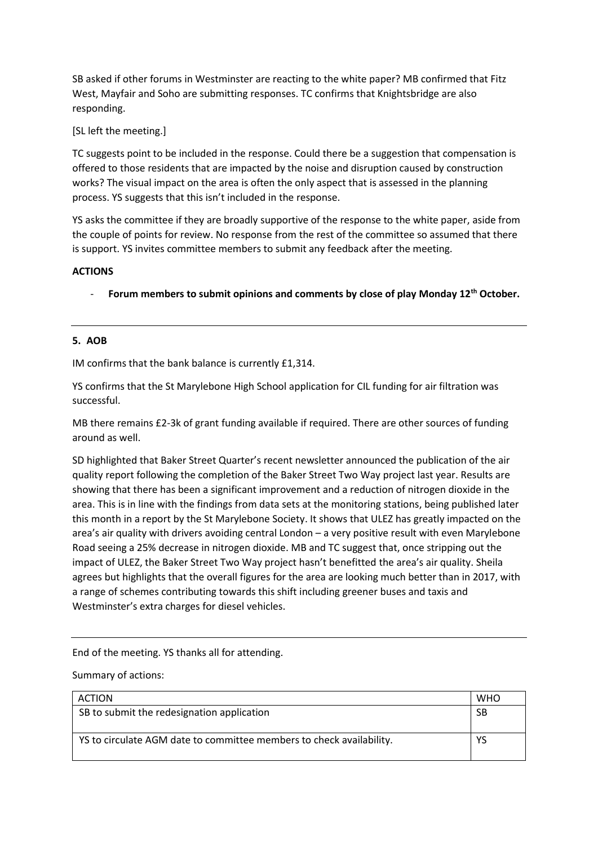SB asked if other forums in Westminster are reacting to the white paper? MB confirmed that Fitz West, Mayfair and Soho are submitting responses. TC confirms that Knightsbridge are also responding.

[SL left the meeting.]

TC suggests point to be included in the response. Could there be a suggestion that compensation is offered to those residents that are impacted by the noise and disruption caused by construction works? The visual impact on the area is often the only aspect that is assessed in the planning process. YS suggests that this isn't included in the response.

YS asks the committee if they are broadly supportive of the response to the white paper, aside from the couple of points for review. No response from the rest of the committee so assumed that there is support. YS invites committee members to submit any feedback after the meeting.

## **ACTIONS**

- **Forum members to submit opinions and comments by close of play Monday 12th October.** 

# **5. AOB**

IM confirms that the bank balance is currently £1,314.

YS confirms that the St Marylebone High School application for CIL funding for air filtration was successful.

MB there remains £2-3k of grant funding available if required. There are other sources of funding around as well.

SD highlighted that Baker Street Quarter's recent newsletter announced the publication of the air quality report following the completion of the Baker Street Two Way project last year. Results are showing that there has been a significant improvement and a reduction of nitrogen dioxide in the area. This is in line with the findings from data sets at the monitoring stations, being published later this month in a report by the St Marylebone Society. It shows that ULEZ has greatly impacted on the area's air quality with drivers avoiding central London – a very positive result with even Marylebone Road seeing a 25% decrease in nitrogen dioxide. MB and TC suggest that, once stripping out the impact of ULEZ, the Baker Street Two Way project hasn't benefitted the area's air quality. Sheila agrees but highlights that the overall figures for the area are looking much better than in 2017, with a range of schemes contributing towards this shift including greener buses and taxis and Westminster's extra charges for diesel vehicles.

End of the meeting. YS thanks all for attending.

Summary of actions:

| <b>ACTION</b>                                                        | <b>WHO</b> |
|----------------------------------------------------------------------|------------|
| SB to submit the redesignation application                           | SB         |
| YS to circulate AGM date to committee members to check availability. | YS         |